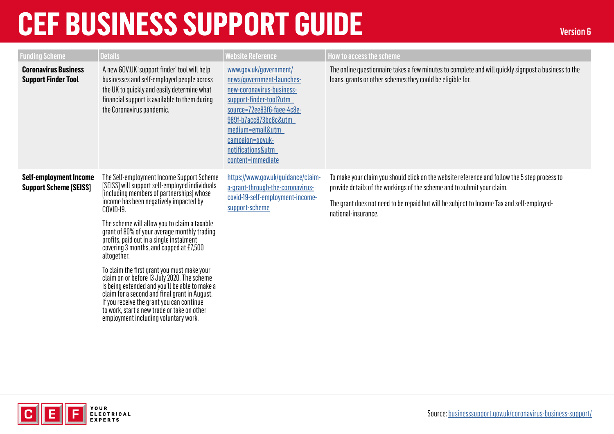| <b>Funding Scheme</b>                                          | <b>Details</b>                                                                                                                                                                                                                                                                                                                                                                                                                                                                                                                                                                                                                                                                                                                             | <b>Website Reference</b>                                                                                                                                                                                                                            | <b>How to access the scheme</b>                                                                                                                                                                                                                                                              |
|----------------------------------------------------------------|--------------------------------------------------------------------------------------------------------------------------------------------------------------------------------------------------------------------------------------------------------------------------------------------------------------------------------------------------------------------------------------------------------------------------------------------------------------------------------------------------------------------------------------------------------------------------------------------------------------------------------------------------------------------------------------------------------------------------------------------|-----------------------------------------------------------------------------------------------------------------------------------------------------------------------------------------------------------------------------------------------------|----------------------------------------------------------------------------------------------------------------------------------------------------------------------------------------------------------------------------------------------------------------------------------------------|
| <b>Coronavirus Business</b><br><b>Support Finder Tool</b>      | A new GOV.UK 'support finder' tool will help<br>businesses and self-employed people across<br>the UK to quickly and easily determine what<br>financial support is available to them during<br>the Coronavirus pandemic.                                                                                                                                                                                                                                                                                                                                                                                                                                                                                                                    | www.gov.uk/government/<br>news/government-launches-<br>new-coronavirus-business-<br>support-finder-tool?utm<br>source=72ee83f6-faee-4c8e-<br>989f-b7acc873bc8c&utm<br>medium=email&utm<br>campaign=govuk-<br>notifications&utm<br>content=immediate | The online questionnaire takes a few minutes to complete and will quickly signpost a business to the<br>loans, grants or other schemes they could be eligible for.                                                                                                                           |
| <b>Self-employment Income</b><br><b>Support Scheme [SEISS]</b> | The Self-employment Income Support Scheme<br>[SEISS] will support self-employed individuals<br>[including members of partnerships] whose<br>income has been negatively impacted by<br>COVID-19.<br>The scheme will allow you to claim a taxable<br>grant of 80% of your average monthly trading<br>profits, paid out in a single instalment<br>covering 3 months, and capped at £7,500<br>altogether.<br>To claim the first grant you must make your<br>claim on or before 13 July 2020. The scheme<br>is being extended and you'll be able to make a<br>claim for a second and final grant in August.<br>If you receive the grant you can continue<br>to work, start a new trade or take on other<br>employment including voluntary work. | https://www.gov.uk/guidance/claim-<br>a-grant-through-the-coronavirus-<br>covid-19-self-employment-income-<br>support-scheme                                                                                                                        | To make your claim you should click on the website reference and follow the 5 step process to<br>provide details of the workings of the scheme and to submit your claim.<br>The grant does not need to be repaid but will be subject to Income Tax and self-employed-<br>national-insurance. |

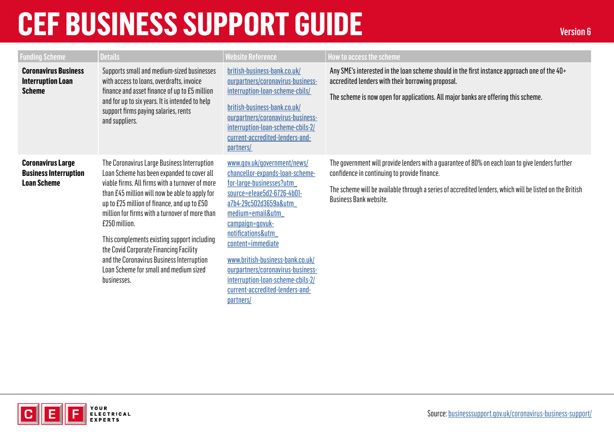| <b>Funding Scheme</b>                                                          | <b>Details</b>                                                                                                                                                                                                                                                                                                                                                                                                                                                                                                  | <b>Website Reference</b>                                                                                                                                                                                                                                                                                                                                                                         | How to access the scheme                                                                                                                                                                                                                                                                      |
|--------------------------------------------------------------------------------|-----------------------------------------------------------------------------------------------------------------------------------------------------------------------------------------------------------------------------------------------------------------------------------------------------------------------------------------------------------------------------------------------------------------------------------------------------------------------------------------------------------------|--------------------------------------------------------------------------------------------------------------------------------------------------------------------------------------------------------------------------------------------------------------------------------------------------------------------------------------------------------------------------------------------------|-----------------------------------------------------------------------------------------------------------------------------------------------------------------------------------------------------------------------------------------------------------------------------------------------|
| <b>Coronavirus Business</b><br><b>Interruption Loan</b><br><b>Scheme</b>       | Supports small and medium-sized businesses<br>with access to loans, overdrafts, invoice<br>finance and asset finance of up to £5 million<br>and for up to six years. It is intended to help<br>support firms paying salaries, rents<br>and suppliers.                                                                                                                                                                                                                                                           | british-business-bank.co.uk/<br>ourpartners/coronavirus-business-<br>interruption-loan-scheme-cbils/<br>british-business-bank.co.uk/<br>ourpartners/coronavirus-business-<br>interruption-loan-scheme-cbils-2/<br>current-accredited-lenders-and-<br>partners/                                                                                                                                   | Any SME's interested in the loan scheme should in the first instance approach one of the 40+<br>accredited lenders with their borrowing proposal.<br>The scheme is now open for applications. All major banks are offering this scheme.                                                       |
| <b>Coronavirus Large</b><br><b>Business Interruption</b><br><b>Loan Scheme</b> | The Coronavirus Large Business Interruption<br>Loan Scheme has been expanded to cover all<br>viable firms. All firms with a turnover of more<br>than £45 million will now be able to apply for<br>up to £25 million of finance, and up to £50<br>million for firms with a turnover of more than<br>£250 million.<br>This complements existing support including<br>the Covid Corporate Financing Facility<br>and the Coronavirus Business Interruption<br>Loan Scheme for small and medium sized<br>businesses. | www.gov.uk/government/news/<br>chancellor-expands-loan-scheme-<br>for-large-businesses?utm<br>source=e1eae5d2-6726-4b01-<br>a7b4-29c502d3659a&utm<br>medium=email&utm<br>campaign=govuk-<br>notifications&utm<br>content=immediate<br>www.british-business-bank.co.uk/<br>ourpartners/coronavirus-business-<br>interruption-loan-scheme-cbils-2/<br>current-accredited-lenders-and-<br>partners/ | The government will provide lenders with a guarantee of 80% on each loan to give lenders further<br>confidence in continuing to provide finance.<br>The scheme will be available through a series of accredited lenders, which will be listed on the British<br><b>Business Bank website.</b> |

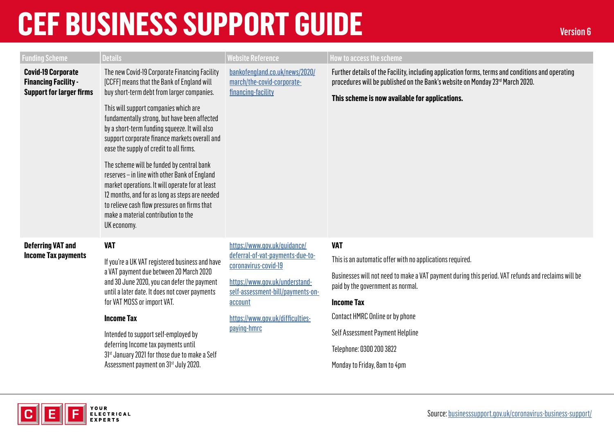| <b>Funding Scheme</b>                                                                       | <b>Details</b>                                                                                                                                                                                                                                                                                                                                                                                                                                                                                                                                                                                                                                                                           | <b>Website Reference</b>                                                                                                                                                                                                      | <b>How to access the scheme</b>                                                                                                                                                                                                                                                                                                                                             |
|---------------------------------------------------------------------------------------------|------------------------------------------------------------------------------------------------------------------------------------------------------------------------------------------------------------------------------------------------------------------------------------------------------------------------------------------------------------------------------------------------------------------------------------------------------------------------------------------------------------------------------------------------------------------------------------------------------------------------------------------------------------------------------------------|-------------------------------------------------------------------------------------------------------------------------------------------------------------------------------------------------------------------------------|-----------------------------------------------------------------------------------------------------------------------------------------------------------------------------------------------------------------------------------------------------------------------------------------------------------------------------------------------------------------------------|
| <b>Covid-19 Corporate</b><br><b>Financing Facility -</b><br><b>Support for larger firms</b> | The new Covid-19 Corporate Financing Facility<br>[CCFF] means that the Bank of England will<br>buy short-term debt from larger companies.<br>This will support companies which are<br>fundamentally strong, but have been affected<br>by a short-term funding squeeze. It will also<br>support corporate finance markets overall and<br>ease the supply of credit to all firms.<br>The scheme will be funded by central bank<br>reserves - in line with other Bank of England<br>market operations. It will operate for at least<br>12 months, and for as long as steps are needed<br>to relieve cash flow pressures on firms that<br>make a material contribution to the<br>UK economy. | bankofengland.co.uk/news/2020/<br>march/the-covid-corporate-<br>financing-facility                                                                                                                                            | Further details of the Facility, including application forms, terms and conditions and operating<br>procedures will be published on the Bank's website on Monday 23rd March 2020.<br>This scheme is now available for applications.                                                                                                                                         |
| <b>Deferring VAT and</b><br><b>Income Tax payments</b>                                      | <b>VAT</b><br>If you're a UK VAT registered business and have<br>a VAT payment due between 20 March 2020<br>and 30 June 2020, you can defer the payment<br>until a later date. It does not cover payments<br>for VAT MOSS or import VAT.<br><b>Income Tax</b><br>Intended to support self-employed by<br>deferring Income tax payments until<br>31st January 2021 for those due to make a Self<br>Assessment payment on 31st July 2020.                                                                                                                                                                                                                                                  | https://www.gov.uk/guidance/<br>deferral-of-vat-payments-due-to-<br>coronavirus-covid-19<br>https://www.qov.uk/understand-<br>self-assessment-bill/payments-on-<br>account<br>https://www.gov.uk/difficulties-<br>paying-hmrc | <b>VAT</b><br>This is an automatic offer with no applications required.<br>Businesses will not need to make a VAT payment during this period. VAT refunds and reclaims will be<br>paid by the government as normal.<br><b>Income Tax</b><br>Contact HMRC Online or by phone<br>Self Assessment Payment Helpline<br>Telephone: 0300 200 3822<br>Monday to Friday, 8am to 4pm |

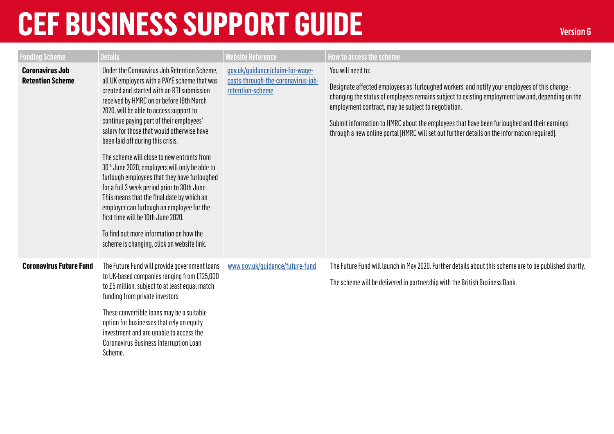| <b>Funding Scheme</b>                             | <b>Details</b>                                                                                                                                                                                                                                                                                                                                                                                                                                                                                                                                                                                                                                                                                                                                                                                        | <b>Website Reference</b>                                                                  | How to access the scheme                                                                                                                                                                                                                                                                                                                                                                                                                                                        |
|---------------------------------------------------|-------------------------------------------------------------------------------------------------------------------------------------------------------------------------------------------------------------------------------------------------------------------------------------------------------------------------------------------------------------------------------------------------------------------------------------------------------------------------------------------------------------------------------------------------------------------------------------------------------------------------------------------------------------------------------------------------------------------------------------------------------------------------------------------------------|-------------------------------------------------------------------------------------------|---------------------------------------------------------------------------------------------------------------------------------------------------------------------------------------------------------------------------------------------------------------------------------------------------------------------------------------------------------------------------------------------------------------------------------------------------------------------------------|
| <b>Coronavirus Job</b><br><b>Retention Scheme</b> | Under the Coronavirus Job Retention Scheme,<br>all UK employers with a PAYE scheme that was<br>created and started with an RTI submission<br>received by HMRC on or before 19th March<br>2020, will be able to access support to<br>continue paying part of their employees'<br>salary for those that would otherwise have<br>been laid off during this crisis.<br>The scheme will close to new entrants from<br>30 <sup>th</sup> June 2020, employers will only be able to<br>furlough employees that they have furloughed<br>for a full 3 week period prior to 30th June.<br>This means that the final date by which an<br>employer can furlough an employee for the<br>first time will be 10th June 2020.<br>To find out more information on how the<br>scheme is changing, click on website link. | gov.uk/quidance/claim-for-wage-<br>costs-through-the-coronavirus-job-<br>retention-scheme | You will need to:<br>Designate affected employees as 'furloughed workers' and notify your employees of this change -<br>changing the status of employees remains subject to existing employment law and, depending on the<br>employment contract, may be subject to negotiation.<br>Submit information to HMRC about the employees that have been furloughed and their earnings<br>through a new online portal [HMRC will set out further details on the information required]. |
| <b>Coronavirus Future Fund</b>                    | The Future Fund will provide government loans<br>to UK-based companies ranging from £125,000<br>to £5 million, subject to at least equal match<br>funding from private investors.<br>These convertible loans may be a suitable<br>option for businesses that rely on equity<br>investment and are unable to access the<br><b>Coronavirus Business Interruption Loan</b><br>Scheme.                                                                                                                                                                                                                                                                                                                                                                                                                    | www.gov.uk/quidance/future-fund                                                           | The Future Fund will launch in May 2020. Further details about this scheme are to be published shortly.<br>The scheme will be delivered in partnership with the British Business Bank.                                                                                                                                                                                                                                                                                          |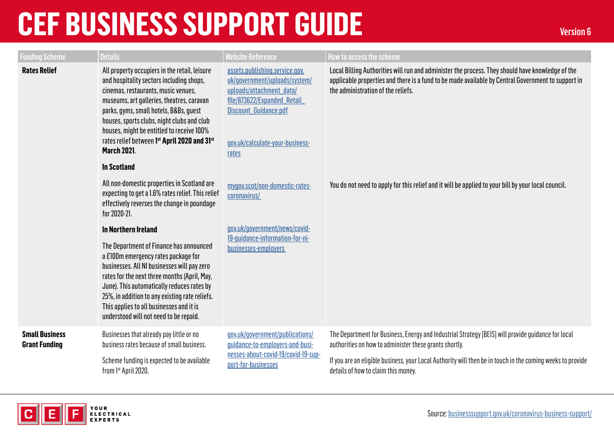| <b>Funding Scheme</b>                         | <b>Details</b>                                                                                                                                                                                                                                                                                                                                                                           | <b>Website Reference</b>                                                                                                                                                                        | How to access the scheme                                                                                                                                                                                                                     |
|-----------------------------------------------|------------------------------------------------------------------------------------------------------------------------------------------------------------------------------------------------------------------------------------------------------------------------------------------------------------------------------------------------------------------------------------------|-------------------------------------------------------------------------------------------------------------------------------------------------------------------------------------------------|----------------------------------------------------------------------------------------------------------------------------------------------------------------------------------------------------------------------------------------------|
| <b>Rates Relief</b>                           | All property occupiers in the retail, leisure<br>and hospitality sectors including shops,<br>cinemas, restaurants, music venues,<br>museums, art galleries, theatres, caravan<br>parks, gyms, small hotels, B&Bs, guest<br>houses, sports clubs, night clubs and club<br>houses, might be entitled to receive 100%<br>rates relief between 1st April 2020 and 31st<br><b>March 2021.</b> | assets.publishing.service.gov.<br>uk/qovernment/uploads/system/<br>uploads/attachment_data/<br>file/873622/Expanded Retail<br>Discount Guidance.pdf<br>qov.uk/calculate-your-business-<br>rates | Local Billing Authorities will run and administer the process. They should have knowledge of the<br>applicable properties and there is a fund to be made available by Central Government to support in<br>the administration of the reliefs. |
|                                               | <b>In Scotland</b>                                                                                                                                                                                                                                                                                                                                                                       |                                                                                                                                                                                                 |                                                                                                                                                                                                                                              |
|                                               | All non-domestic properties in Scotland are<br>expecting to get a 1.6% rates relief. This relief<br>effectively reverses the change in poundage<br>for 2020-21.                                                                                                                                                                                                                          | mygov.scot/non-domestic-rates-<br>coronavirus/                                                                                                                                                  | You do not need to apply for this relief and it will be applied to your bill by your local council.                                                                                                                                          |
|                                               | <b>In Northern Ireland</b>                                                                                                                                                                                                                                                                                                                                                               | gov.uk/government/news/covid-                                                                                                                                                                   |                                                                                                                                                                                                                                              |
|                                               | The Department of Finance has announced<br>a £100m emergency rates package for<br>businesses. All NI businesses will pay zero<br>rates for the next three months (April, May,<br>June). This automatically reduces rates by<br>25%, in addition to any existing rate reliefs.<br>This applies to all businesses and it is<br>understood will not need to be repaid.                      | 19-quidance-information-for-ni-<br>businesses-employers                                                                                                                                         |                                                                                                                                                                                                                                              |
| <b>Small Business</b><br><b>Grant Funding</b> | Businesses that already pay little or no<br>business rates because of small business.                                                                                                                                                                                                                                                                                                    | gov.uk/government/publications/<br>guidance-to-employers-and-busi-                                                                                                                              | The Department for Business, Energy and Industrial Strategy [BEIS] will provide guidance for local<br>authorities on how to administer these grants shortly.                                                                                 |
|                                               | Scheme funding is expected to be available<br>from 1st April 2020.                                                                                                                                                                                                                                                                                                                       | nesses-about-covid-19/covid-19-sup-<br>port-for-businesses                                                                                                                                      | If you are an eligible business, your Local Authority will then be in touch in the coming weeks to provide<br>details of how to claim this money.                                                                                            |

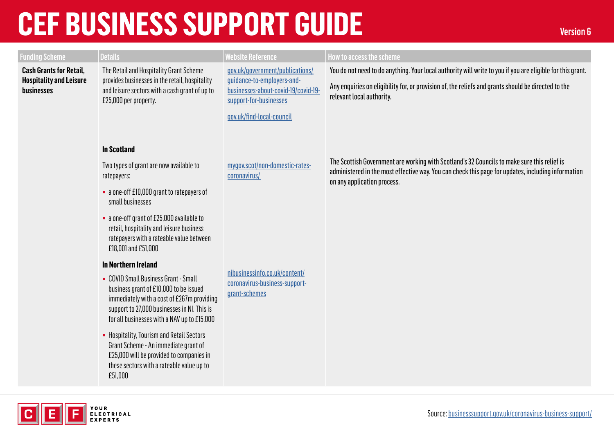YOUR<br>Electrical **EXPERTS** 

[Source: businesssupport.gov.uk/coronavirus-business-support/](https://www.businesssupport.gov.uk/coronavirus-business-support/)

| <b>Funding Scheme</b>                                            | <b>Details</b>                                                                                                                                                                                                             | Website Reference                                                               | How to access the scheme                                                                                                                                                                                                         |
|------------------------------------------------------------------|----------------------------------------------------------------------------------------------------------------------------------------------------------------------------------------------------------------------------|---------------------------------------------------------------------------------|----------------------------------------------------------------------------------------------------------------------------------------------------------------------------------------------------------------------------------|
| <b>Cash Grants for Retail,</b><br><b>Hospitality and Leisure</b> | The Retail and Hospitality Grant Scheme<br>provides businesses in the retail, hospitality                                                                                                                                  | gov.uk/government/publications/<br>guidance-to-employers-and-                   | You do not need to do anything. Your local authority will write to you if you are eligible for this grant.                                                                                                                       |
| businesses                                                       | and leisure sectors with a cash grant of up to<br>£25,000 per property.                                                                                                                                                    | businesses-about-covid-19/covid-19-<br>support-for-businesses                   | Any enquiries on eligibility for, or provision of, the reliefs and grants should be directed to the<br>relevant local authority.                                                                                                 |
|                                                                  |                                                                                                                                                                                                                            | gov.uk/find-local-council                                                       |                                                                                                                                                                                                                                  |
|                                                                  |                                                                                                                                                                                                                            |                                                                                 |                                                                                                                                                                                                                                  |
|                                                                  | <b>In Scotland</b>                                                                                                                                                                                                         |                                                                                 |                                                                                                                                                                                                                                  |
|                                                                  | Two types of grant are now available to<br>ratepayers:                                                                                                                                                                     | mygov.scot/non-domestic-rates-<br>coronavirus/                                  | The Scottish Government are working with Scotland's 32 Councils to make sure this relief is<br>administered in the most effective way. You can check this page for updates, including information<br>on any application process. |
|                                                                  | • a one-off £10,000 grant to ratepayers of<br>small businesses                                                                                                                                                             |                                                                                 |                                                                                                                                                                                                                                  |
|                                                                  | • a one-off grant of £25,000 available to<br>retail, hospitality and leisure business<br>ratepayers with a rateable value between<br>£18,001 and £51,000                                                                   |                                                                                 |                                                                                                                                                                                                                                  |
|                                                                  | <b>In Northern Ireland</b>                                                                                                                                                                                                 |                                                                                 |                                                                                                                                                                                                                                  |
|                                                                  | • COVID Small Business Grant - Small<br>business grant of £10,000 to be issued<br>immediately with a cost of £267m providing<br>support to 27,000 businesses in NI. This is<br>for all businesses with a NAV up to £15,000 | nibusinessinfo.co.uk/content/<br>coronavirus-business-support-<br>grant-schemes |                                                                                                                                                                                                                                  |
|                                                                  | • Hospitality, Tourism and Retail Sectors<br>Grant Scheme - An immediate grant of<br>£25,000 will be provided to companies in<br>these sectors with a rateable value up to<br>£51,000                                      |                                                                                 |                                                                                                                                                                                                                                  |
|                                                                  |                                                                                                                                                                                                                            |                                                                                 |                                                                                                                                                                                                                                  |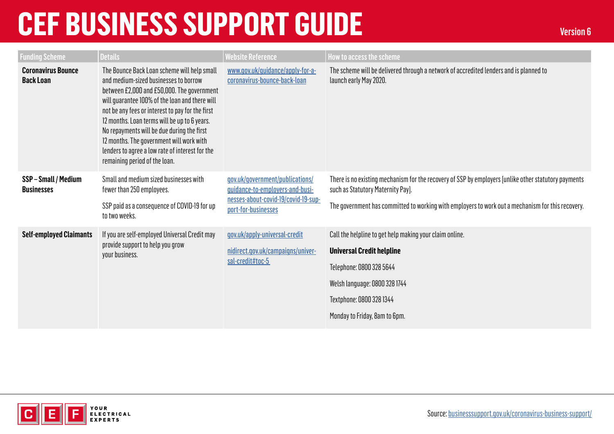| <b>Funding Scheme</b>                         | <b>Details</b>                                                                                                                                                                                                                                                                                                                                                                                                                                                         | <b>Website Reference</b>                                                                                                         | How to access the scheme                                                                                                                                                                                                                       |
|-----------------------------------------------|------------------------------------------------------------------------------------------------------------------------------------------------------------------------------------------------------------------------------------------------------------------------------------------------------------------------------------------------------------------------------------------------------------------------------------------------------------------------|----------------------------------------------------------------------------------------------------------------------------------|------------------------------------------------------------------------------------------------------------------------------------------------------------------------------------------------------------------------------------------------|
| <b>Coronavirus Bounce</b><br><b>Back Loan</b> | The Bounce Back Loan scheme will help small<br>and medium-sized businesses to borrow<br>between £2,000 and £50,000. The government<br>will guarantee 100% of the loan and there will<br>not be any fees or interest to pay for the first<br>12 months. Loan terms will be up to 6 years.<br>No repayments will be due during the first<br>12 months. The government will work with<br>lenders to agree a low rate of interest for the<br>remaining period of the loan. | www.gov.uk/quidance/apply-for-a-<br>coronavirus-bounce-back-loan                                                                 | The scheme will be delivered through a network of accredited lenders and is planned to<br>launch early May 2020.                                                                                                                               |
| SSP-Small / Medium<br><b>Businesses</b>       | Small and medium sized businesses with<br>fewer than 250 employees.<br>SSP paid as a consequence of COVID-19 for up<br>to two weeks.                                                                                                                                                                                                                                                                                                                                   | gov.uk/government/publications/<br>guidance-to-employers-and-busi-<br>nesses-about-covid-19/covid-19-sup-<br>port-for-businesses | There is no existing mechanism for the recovery of SSP by employers [unlike other statutory payments<br>such as Statutory Maternity Pay].<br>The government has committed to working with employers to work out a mechanism for this recovery. |
| <b>Self-employed Claimants</b>                | If you are self-employed Universal Credit may<br>provide support to help you grow<br>your business.                                                                                                                                                                                                                                                                                                                                                                    | gov.uk/apply-universal-credit<br>nidirect.gov.uk/campaigns/univer-<br>sal-credit#toc-5                                           | Call the helpline to get help making your claim online.<br><b>Universal Credit helpline</b><br>Telephone: 0800 328 5644<br>Welsh language: 0800 328 1744<br>Textphone: 0800 328 1344<br>Monday to Friday, 8am to 6pm.                          |

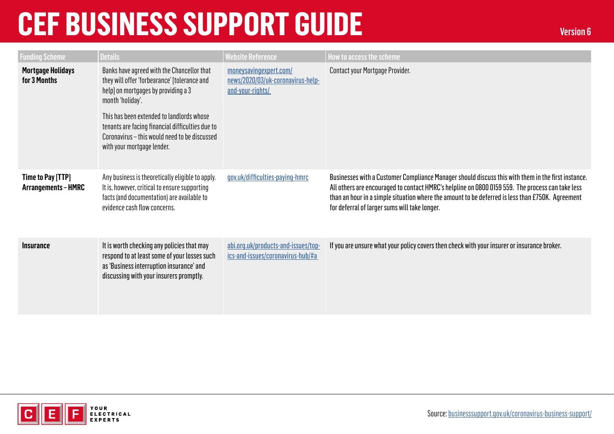| <b>Funding Scheme</b>                    | <b>Details</b>                                                                                                                                                                                                                                                                                                                        | <b>Website Reference</b>                                                        | How to access the scheme                                                                                                                                                                                                                                                                                                                                    |
|------------------------------------------|---------------------------------------------------------------------------------------------------------------------------------------------------------------------------------------------------------------------------------------------------------------------------------------------------------------------------------------|---------------------------------------------------------------------------------|-------------------------------------------------------------------------------------------------------------------------------------------------------------------------------------------------------------------------------------------------------------------------------------------------------------------------------------------------------------|
| <b>Mortgage Holidays</b><br>for 3 Months | Banks have agreed with the Chancellor that<br>they will offer 'forbearance' [tolerance and<br>help] on mortgages by providing a 3<br>month 'holiday'.<br>This has been extended to landlords whose<br>tenants are facing financial difficulties due to<br>Coronavirus - this would need to be discussed<br>with your mortgage lender. | moneysavingexpert.com/<br>news/2020/03/uk-coronavirus-help-<br>and-your-rights/ | Contact your Mortgage Provider.                                                                                                                                                                                                                                                                                                                             |
| Time to Pay [TTP]<br>Arrangements-HMRC   | Any business is theoretically eligible to apply.<br>It is, however, critical to ensure supporting<br>facts (and documentation) are available to<br>evidence cash flow concerns.                                                                                                                                                       | gov.uk/difficulties-paying-hmrc                                                 | Businesses with a Customer Compliance Manager should discuss this with them in the first instance.<br>All others are encouraged to contact HMRC's helpline on 0800 0159 559. The process can take less<br>than an hour in a simple situation where the amount to be deferred is less than £750K. Agreement<br>for deferral of larger sums will take longer. |
| <b>Insurance</b>                         | It is worth checking any policies that may<br>respond to at least some of your losses such<br>as 'Business interruption insurance' and<br>discussing with your insurers promptly.                                                                                                                                                     | abi.org.uk/products-and-issues/top-<br>ics-and-issues/coronavirus-hub/#a        | If you are unsure what your policy covers then check with your insurer or insurance broker.                                                                                                                                                                                                                                                                 |